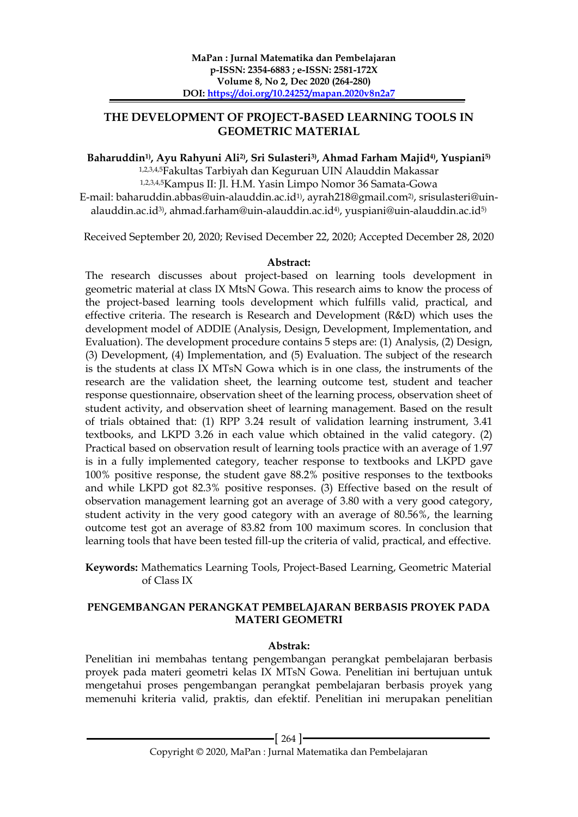# **THE DEVELOPMENT OF PROJECT-BASED LEARNING TOOLS IN GEOMETRIC MATERIAL**

### **Baharuddin1) , Ayu Rahyuni Ali2) , Sri Sulasteri3) , Ahmad Farham Majid4) , Yuspiani5)**

1,2,3,4,5Fakultas Tarbiyah dan Keguruan UIN Alauddin Makassar 1,2,3,4,5Kampus II: Jl. H.M. Yasin Limpo Nomor 36 Samata-Gowa E-mail: baharuddin.abbas@uin-alauddin.ac.id<sup>1)</sup>, ayrah218@gmail.com<sup>2)</sup>, srisulasteri@uin-

Received September 20, 2020; Revised December 22, 2020; Accepted December 28, 2020

alauddin.ac.id<sup>3)</sup>, ahmad.farham@uin-alauddin.ac.id<sup>4)</sup>, yuspiani@uin-alauddin.ac.id<sup>5)</sup>

### **Abstract:**

The research discusses about project-based on learning tools development in geometric material at class IX MtsN Gowa. This research aims to know the process of the project-based learning tools development which fulfills valid, practical, and effective criteria. The research is Research and Development (R&D) which uses the development model of ADDIE (Analysis, Design, Development, Implementation, and Evaluation). The development procedure contains 5 steps are: (1) Analysis, (2) Design, (3) Development, (4) Implementation, and (5) Evaluation. The subject of the research is the students at class IX MTsN Gowa which is in one class, the instruments of the research are the validation sheet, the learning outcome test, student and teacher response questionnaire, observation sheet of the learning process, observation sheet of student activity, and observation sheet of learning management. Based on the result of trials obtained that: (1) RPP 3.24 result of validation learning instrument, 3.41 textbooks, and LKPD 3.26 in each value which obtained in the valid category. (2) Practical based on observation result of learning tools practice with an average of 1.97 is in a fully implemented category, teacher response to textbooks and LKPD gave 100% positive response, the student gave 88.2% positive responses to the textbooks and while LKPD got 82.3% positive responses. (3) Effective based on the result of observation management learning got an average of 3.80 with a very good category, student activity in the very good category with an average of 80.56%, the learning outcome test got an average of 83.82 from 100 maximum scores. In conclusion that learning tools that have been tested fill-up the criteria of valid, practical, and effective.

**Keywords:** Mathematics Learning Tools, Project-Based Learning, Geometric Material of Class IX

#### **PENGEMBANGAN PERANGKAT PEMBELAJARAN BERBASIS PROYEK PADA MATERI GEOMETRI**

### **Abstrak:**

Penelitian ini membahas tentang pengembangan perangkat pembelajaran berbasis proyek pada materi geometri kelas IX MTsN Gowa. Penelitian ini bertujuan untuk mengetahui proses pengembangan perangkat pembelajaran berbasis proyek yang memenuhi kriteria valid, praktis, dan efektif. Penelitian ini merupakan penelitian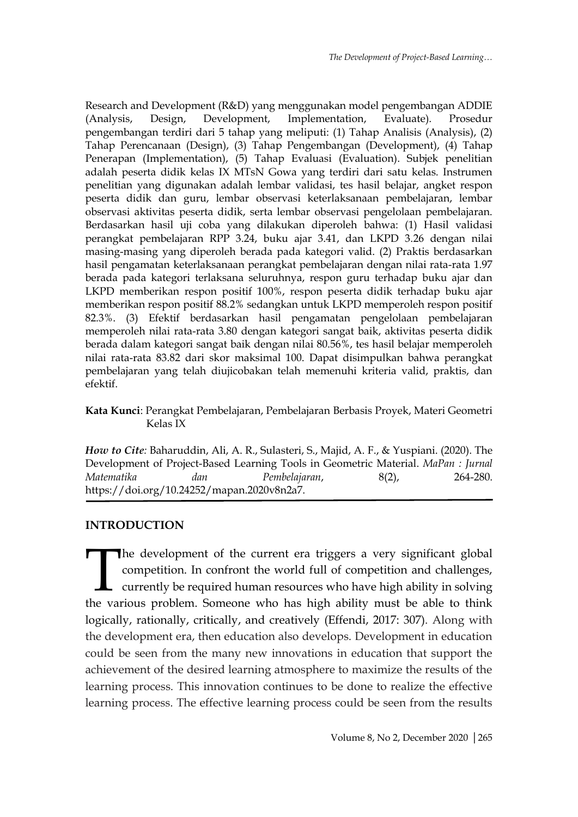Research and Development (R&D) yang menggunakan model pengembangan ADDIE (Analysis, Design, Development, Implementation, Evaluate). Prosedur pengembangan terdiri dari 5 tahap yang meliputi: (1) Tahap Analisis (Analysis), (2) Tahap Perencanaan (Design), (3) Tahap Pengembangan (Development), (4) Tahap Penerapan (Implementation), (5) Tahap Evaluasi (Evaluation). Subjek penelitian adalah peserta didik kelas IX MTsN Gowa yang terdiri dari satu kelas. Instrumen penelitian yang digunakan adalah lembar validasi, tes hasil belajar, angket respon peserta didik dan guru, lembar observasi keterlaksanaan pembelajaran, lembar observasi aktivitas peserta didik, serta lembar observasi pengelolaan pembelajaran. Berdasarkan hasil uji coba yang dilakukan diperoleh bahwa: (1) Hasil validasi perangkat pembelajaran RPP 3.24, buku ajar 3.41, dan LKPD 3.26 dengan nilai masing-masing yang diperoleh berada pada kategori valid. (2) Praktis berdasarkan hasil pengamatan keterlaksanaan perangkat pembelajaran dengan nilai rata-rata 1.97 berada pada kategori terlaksana seluruhnya, respon guru terhadap buku ajar dan LKPD memberikan respon positif 100%, respon peserta didik terhadap buku ajar memberikan respon positif 88.2% sedangkan untuk LKPD memperoleh respon positif 82.3%. (3) Efektif berdasarkan hasil pengamatan pengelolaan pembelajaran memperoleh nilai rata-rata 3.80 dengan kategori sangat baik, aktivitas peserta didik berada dalam kategori sangat baik dengan nilai 80.56%, tes hasil belajar memperoleh nilai rata-rata 83.82 dari skor maksimal 100. Dapat disimpulkan bahwa perangkat pembelajaran yang telah diujicobakan telah memenuhi kriteria valid, praktis, dan efektif.

## **Kata Kunci**: Perangkat Pembelajaran, Pembelajaran Berbasis Proyek, Materi Geometri Kelas IX

*How to Cite:* Baharuddin, Ali, A. R., Sulasteri, S., Majid, A. F., & Yuspiani. (2020). The Development of Project-Based Learning Tools in Geometric Material. *MaPan : Jurnal Matematika dan Pembelajaran*, 8(2), 264-280. https://doi.org/10.24252/mapan.2020v8n2a7.

## **INTRODUCTION**

The development of the current era triggers a very significant global competition. In confront the world full of competition and challenges, currently be required human resources who have high ability in solving The development of the current era triggers a very significant global competition. In confront the world full of competition and challenges, currently be required human resources who have high ability in solving the variou logically, rationally, critically, and creatively (Effendi, 2017: 307). Along with the development era, then education also develops. Development in education could be seen from the many new innovations in education that support the achievement of the desired learning atmosphere to maximize the results of the learning process. This innovation continues to be done to realize the effective learning process. The effective learning process could be seen from the results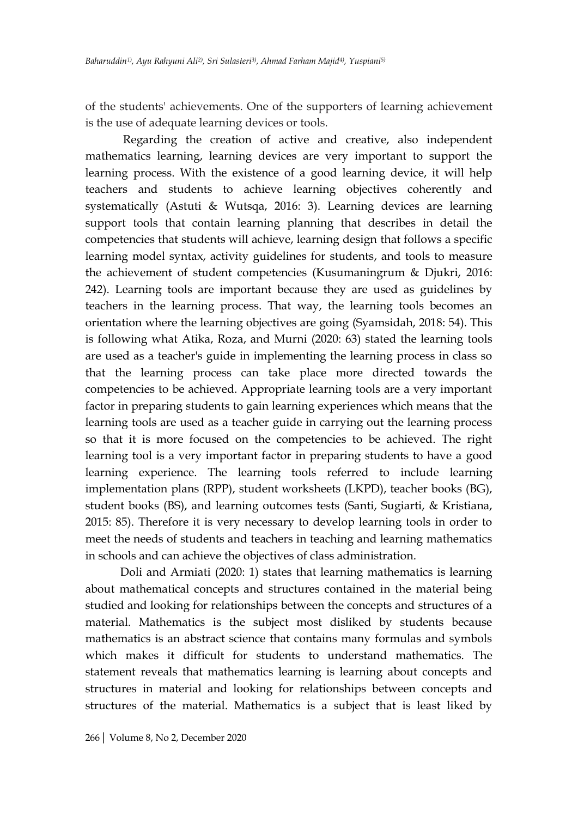of the students' achievements. One of the supporters of learning achievement is the use of adequate learning devices or tools.

Regarding the creation of active and creative, also independent mathematics learning, learning devices are very important to support the learning process. With the existence of a good learning device, it will help teachers and students to achieve learning objectives coherently and systematically (Astuti & Wutsqa, 2016: 3). Learning devices are learning support tools that contain learning planning that describes in detail the competencies that students will achieve, learning design that follows a specific learning model syntax, activity guidelines for students, and tools to measure the achievement of student competencies (Kusumaningrum & Djukri, 2016: 242). Learning tools are important because they are used as guidelines by teachers in the learning process. That way, the learning tools becomes an orientation where the learning objectives are going (Syamsidah, 2018: 54). This is following what Atika, Roza, and Murni (2020: 63) stated the learning tools are used as a teacher's guide in implementing the learning process in class so that the learning process can take place more directed towards the competencies to be achieved. Appropriate learning tools are a very important factor in preparing students to gain learning experiences which means that the learning tools are used as a teacher guide in carrying out the learning process so that it is more focused on the competencies to be achieved. The right learning tool is a very important factor in preparing students to have a good learning experience. The learning tools referred to include learning implementation plans (RPP), student worksheets (LKPD), teacher books (BG), student books (BS), and learning outcomes tests (Santi, Sugiarti, & Kristiana, 2015: 85). Therefore it is very necessary to develop learning tools in order to meet the needs of students and teachers in teaching and learning mathematics in schools and can achieve the objectives of class administration.

Doli and Armiati (2020: 1) states that learning mathematics is learning about mathematical concepts and structures contained in the material being studied and looking for relationships between the concepts and structures of a material. Mathematics is the subject most disliked by students because mathematics is an abstract science that contains many formulas and symbols which makes it difficult for students to understand mathematics. The statement reveals that mathematics learning is learning about concepts and structures in material and looking for relationships between concepts and structures of the material. Mathematics is a subject that is least liked by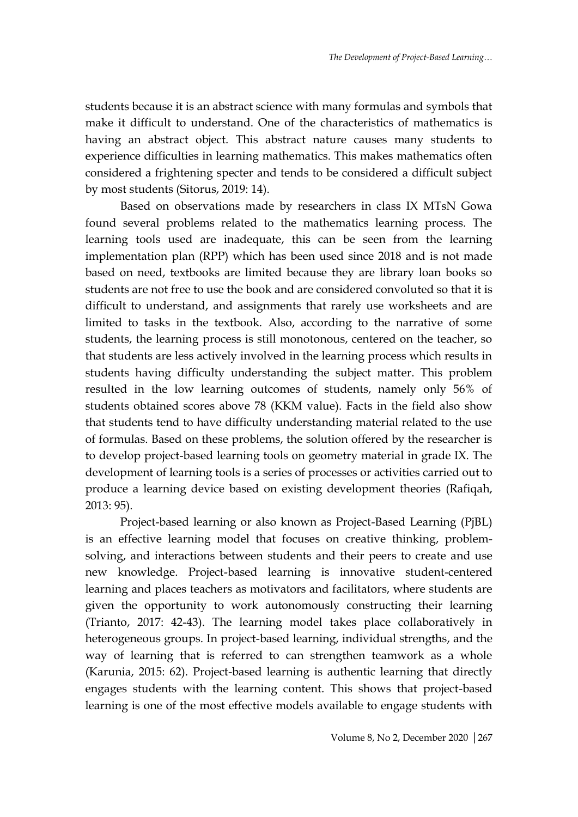students because it is an abstract science with many formulas and symbols that make it difficult to understand. One of the characteristics of mathematics is having an abstract object. This abstract nature causes many students to experience difficulties in learning mathematics. This makes mathematics often considered a frightening specter and tends to be considered a difficult subject by most students (Sitorus, 2019: 14).

Based on observations made by researchers in class IX MTsN Gowa found several problems related to the mathematics learning process. The learning tools used are inadequate, this can be seen from the learning implementation plan (RPP) which has been used since 2018 and is not made based on need, textbooks are limited because they are library loan books so students are not free to use the book and are considered convoluted so that it is difficult to understand, and assignments that rarely use worksheets and are limited to tasks in the textbook. Also, according to the narrative of some students, the learning process is still monotonous, centered on the teacher, so that students are less actively involved in the learning process which results in students having difficulty understanding the subject matter. This problem resulted in the low learning outcomes of students, namely only 56% of students obtained scores above 78 (KKM value). Facts in the field also show that students tend to have difficulty understanding material related to the use of formulas. Based on these problems, the solution offered by the researcher is to develop project-based learning tools on geometry material in grade IX. The development of learning tools is a series of processes or activities carried out to produce a learning device based on existing development theories (Rafiqah, 2013: 95).

Project-based learning or also known as Project-Based Learning (PjBL) is an effective learning model that focuses on creative thinking, problemsolving, and interactions between students and their peers to create and use new knowledge. Project-based learning is innovative student-centered learning and places teachers as motivators and facilitators, where students are given the opportunity to work autonomously constructing their learning (Trianto, 2017: 42-43). The learning model takes place collaboratively in heterogeneous groups. In project-based learning, individual strengths, and the way of learning that is referred to can strengthen teamwork as a whole (Karunia, 2015: 62). Project-based learning is authentic learning that directly engages students with the learning content. This shows that project-based learning is one of the most effective models available to engage students with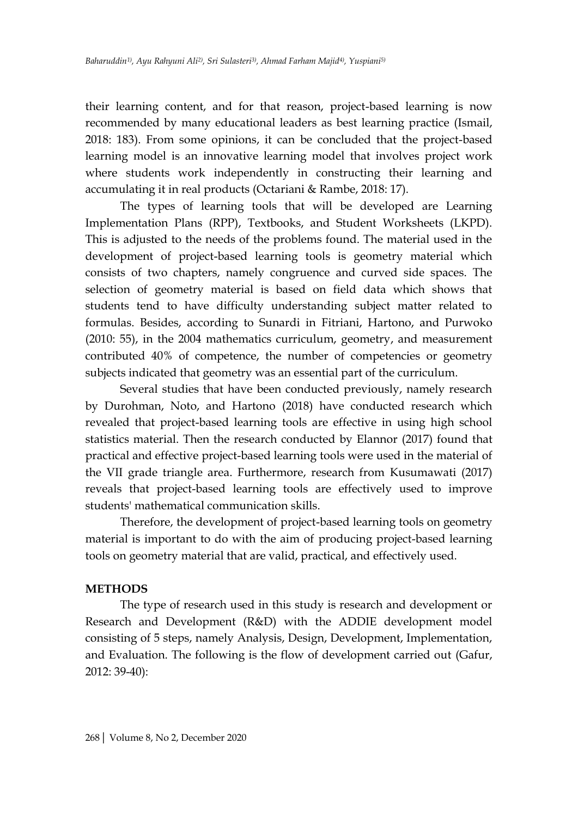their learning content, and for that reason, project-based learning is now recommended by many educational leaders as best learning practice (Ismail, 2018: 183). From some opinions, it can be concluded that the project-based learning model is an innovative learning model that involves project work where students work independently in constructing their learning and accumulating it in real products (Octariani & Rambe, 2018: 17).

The types of learning tools that will be developed are Learning Implementation Plans (RPP), Textbooks, and Student Worksheets (LKPD). This is adjusted to the needs of the problems found. The material used in the development of project-based learning tools is geometry material which consists of two chapters, namely congruence and curved side spaces. The selection of geometry material is based on field data which shows that students tend to have difficulty understanding subject matter related to formulas. Besides, according to Sunardi in Fitriani, Hartono, and Purwoko (2010: 55), in the 2004 mathematics curriculum, geometry, and measurement contributed 40% of competence, the number of competencies or geometry subjects indicated that geometry was an essential part of the curriculum.

Several studies that have been conducted previously, namely research by Durohman, Noto, and Hartono (2018) have conducted research which revealed that project-based learning tools are effective in using high school statistics material. Then the research conducted by Elannor (2017) found that practical and effective project-based learning tools were used in the material of the VII grade triangle area. Furthermore, research from Kusumawati (2017) reveals that project-based learning tools are effectively used to improve students' mathematical communication skills.

Therefore, the development of project-based learning tools on geometry material is important to do with the aim of producing project-based learning tools on geometry material that are valid, practical, and effectively used.

### **METHODS**

The type of research used in this study is research and development or Research and Development (R&D) with the ADDIE development model consisting of 5 steps, namely Analysis, Design, Development, Implementation, and Evaluation. The following is the flow of development carried out (Gafur, 2012: 39-40):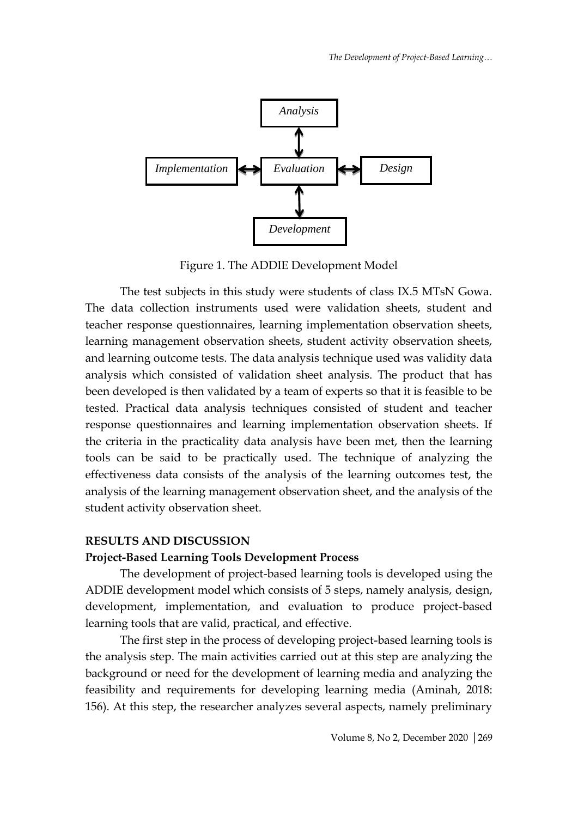

Figure 1. The ADDIE Development Model

The test subjects in this study were students of class IX.5 MTsN Gowa. The data collection instruments used were validation sheets, student and teacher response questionnaires, learning implementation observation sheets, learning management observation sheets, student activity observation sheets, and learning outcome tests. The data analysis technique used was validity data analysis which consisted of validation sheet analysis. The product that has been developed is then validated by a team of experts so that it is feasible to be tested. Practical data analysis techniques consisted of student and teacher response questionnaires and learning implementation observation sheets. If the criteria in the practicality data analysis have been met, then the learning tools can be said to be practically used. The technique of analyzing the effectiveness data consists of the analysis of the learning outcomes test, the analysis of the learning management observation sheet, and the analysis of the student activity observation sheet.

#### **RESULTS AND DISCUSSION**

#### **Project-Based Learning Tools Development Process**

The development of project-based learning tools is developed using the ADDIE development model which consists of 5 steps, namely analysis, design, development, implementation, and evaluation to produce project-based learning tools that are valid, practical, and effective.

The first step in the process of developing project-based learning tools is the analysis step. The main activities carried out at this step are analyzing the background or need for the development of learning media and analyzing the feasibility and requirements for developing learning media (Aminah, 2018: 156). At this step, the researcher analyzes several aspects, namely preliminary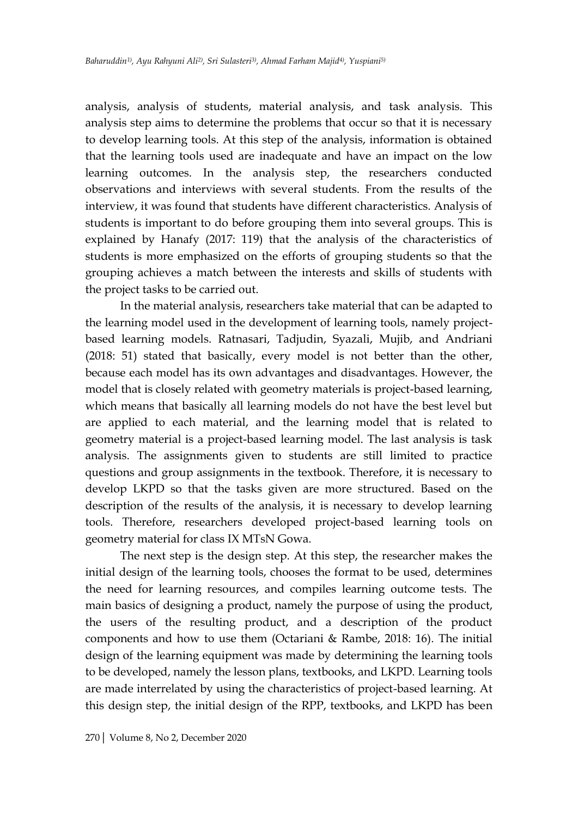analysis, analysis of students, material analysis, and task analysis. This analysis step aims to determine the problems that occur so that it is necessary to develop learning tools. At this step of the analysis, information is obtained that the learning tools used are inadequate and have an impact on the low learning outcomes. In the analysis step, the researchers conducted observations and interviews with several students. From the results of the interview, it was found that students have different characteristics. Analysis of students is important to do before grouping them into several groups. This is explained by Hanafy (2017: 119) that the analysis of the characteristics of students is more emphasized on the efforts of grouping students so that the grouping achieves a match between the interests and skills of students with the project tasks to be carried out.

In the material analysis, researchers take material that can be adapted to the learning model used in the development of learning tools, namely projectbased learning models. Ratnasari, Tadjudin, Syazali, Mujib, and Andriani (2018: 51) stated that basically, every model is not better than the other, because each model has its own advantages and disadvantages. However, the model that is closely related with geometry materials is project-based learning, which means that basically all learning models do not have the best level but are applied to each material, and the learning model that is related to geometry material is a project-based learning model. The last analysis is task analysis. The assignments given to students are still limited to practice questions and group assignments in the textbook. Therefore, it is necessary to develop LKPD so that the tasks given are more structured. Based on the description of the results of the analysis, it is necessary to develop learning tools. Therefore, researchers developed project-based learning tools on geometry material for class IX MTsN Gowa.

The next step is the design step. At this step, the researcher makes the initial design of the learning tools, chooses the format to be used, determines the need for learning resources, and compiles learning outcome tests. The main basics of designing a product, namely the purpose of using the product, the users of the resulting product, and a description of the product components and how to use them (Octariani & Rambe, 2018: 16). The initial design of the learning equipment was made by determining the learning tools to be developed, namely the lesson plans, textbooks, and LKPD. Learning tools are made interrelated by using the characteristics of project-based learning. At this design step, the initial design of the RPP, textbooks, and LKPD has been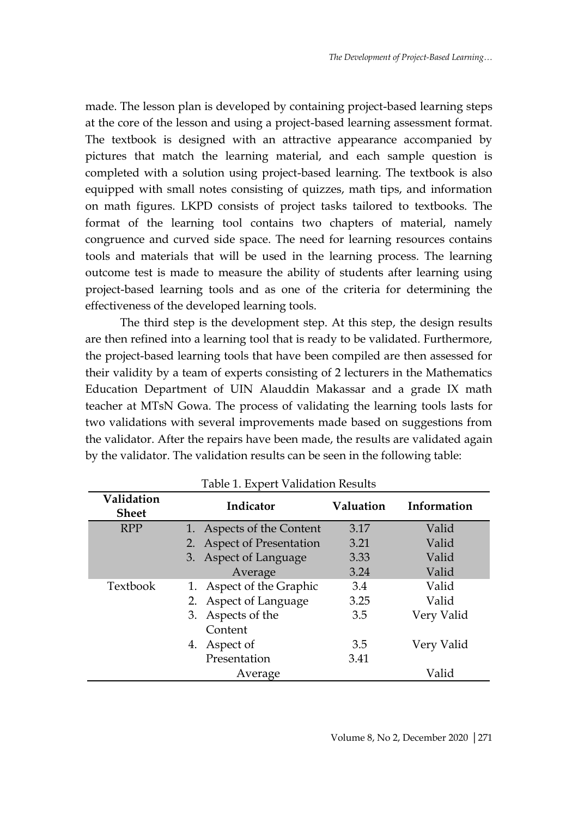made. The lesson plan is developed by containing project-based learning steps at the core of the lesson and using a project-based learning assessment format. The textbook is designed with an attractive appearance accompanied by pictures that match the learning material, and each sample question is completed with a solution using project-based learning. The textbook is also equipped with small notes consisting of quizzes, math tips, and information on math figures. LKPD consists of project tasks tailored to textbooks. The format of the learning tool contains two chapters of material, namely congruence and curved side space. The need for learning resources contains tools and materials that will be used in the learning process. The learning outcome test is made to measure the ability of students after learning using project-based learning tools and as one of the criteria for determining the effectiveness of the developed learning tools.

The third step is the development step. At this step, the design results are then refined into a learning tool that is ready to be validated. Furthermore, the project-based learning tools that have been compiled are then assessed for their validity by a team of experts consisting of 2 lecturers in the Mathematics Education Department of UIN Alauddin Makassar and a grade IX math teacher at MTsN Gowa. The process of validating the learning tools lasts for two validations with several improvements made based on suggestions from the validator. After the repairs have been made, the results are validated again by the validator. The validation results can be seen in the following table:

| Table 1. Expert Validation Results |                                     |           |             |
|------------------------------------|-------------------------------------|-----------|-------------|
| Validation<br><b>Sheet</b>         | Indicator                           | Valuation | Information |
| <b>RPP</b>                         | 1. Aspects of the Content           | 3.17      | Valid       |
|                                    | <b>Aspect of Presentation</b><br>2. | 3.21      | Valid       |
|                                    | 3. Aspect of Language               | 3.33      | Valid       |
|                                    | Average                             | 3.24      | Valid       |
| Textbook                           | 1. Aspect of the Graphic            | 3.4       | Valid       |
|                                    | 2. Aspect of Language               | 3.25      | Valid       |
|                                    | 3. Aspects of the                   | 3.5       | Very Valid  |
|                                    | Content                             |           |             |
|                                    | 4. Aspect of                        | 3.5       | Very Valid  |
|                                    | Presentation                        | 3.41      |             |
|                                    | Average                             |           | Valid       |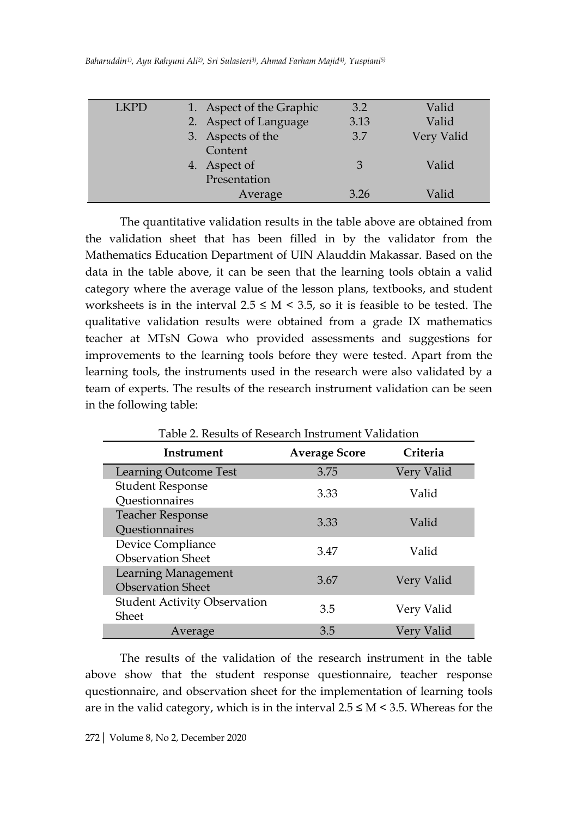| <b>LKPD</b> | 1. Aspect of the Graphic | 3.2  | Valid      |
|-------------|--------------------------|------|------------|
|             | 2. Aspect of Language    | 3.13 | Valid      |
|             | 3. Aspects of the        | 3.7  | Very Valid |
|             | Content                  |      |            |
|             | 4. Aspect of             | 3    | Valid      |
|             | Presentation             |      |            |
|             | Average                  | 3.26 | Valid      |

The quantitative validation results in the table above are obtained from the validation sheet that has been filled in by the validator from the Mathematics Education Department of UIN Alauddin Makassar. Based on the data in the table above, it can be seen that the learning tools obtain a valid category where the average value of the lesson plans, textbooks, and student worksheets is in the interval  $2.5 \le M \le 3.5$ , so it is feasible to be tested. The qualitative validation results were obtained from a grade IX mathematics teacher at MTsN Gowa who provided assessments and suggestions for improvements to the learning tools before they were tested. Apart from the learning tools, the instruments used in the research were also validated by a team of experts. The results of the research instrument validation can be seen in the following table:

| Table 2. Results of Research Instrument Validation  |                      |            |  |  |
|-----------------------------------------------------|----------------------|------------|--|--|
| Instrument                                          | <b>Average Score</b> | Criteria   |  |  |
| <b>Learning Outcome Test</b>                        | 3.75                 | Very Valid |  |  |
| <b>Student Response</b><br>Questionnaires           | 3.33                 | Valid      |  |  |
| <b>Teacher Response</b><br>Questionnaires           | 3.33                 | Valid      |  |  |
| Device Compliance<br><b>Observation Sheet</b>       | 3.47                 | Valid      |  |  |
| Learning Management<br><b>Observation Sheet</b>     | 3.67                 | Very Valid |  |  |
| <b>Student Activity Observation</b><br><b>Sheet</b> | 3.5                  | Very Valid |  |  |
| Average                                             | 3.5                  | Very Valid |  |  |

The results of the validation of the research instrument in the table above show that the student response questionnaire, teacher response questionnaire, and observation sheet for the implementation of learning tools are in the valid category, which is in the interval  $2.5 \le M \le 3.5$ . Whereas for the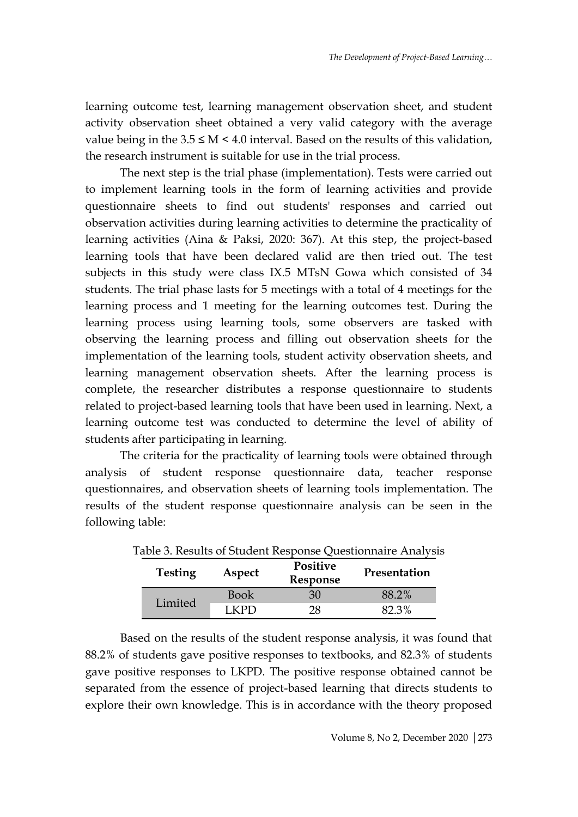learning outcome test, learning management observation sheet, and student activity observation sheet obtained a very valid category with the average value being in the  $3.5 \le M \le 4.0$  interval. Based on the results of this validation, the research instrument is suitable for use in the trial process.

The next step is the trial phase (implementation). Tests were carried out to implement learning tools in the form of learning activities and provide questionnaire sheets to find out students' responses and carried out observation activities during learning activities to determine the practicality of learning activities (Aina & Paksi, 2020: 367). At this step, the project-based learning tools that have been declared valid are then tried out. The test subjects in this study were class IX.5 MTsN Gowa which consisted of 34 students. The trial phase lasts for 5 meetings with a total of 4 meetings for the learning process and 1 meeting for the learning outcomes test. During the learning process using learning tools, some observers are tasked with observing the learning process and filling out observation sheets for the implementation of the learning tools, student activity observation sheets, and learning management observation sheets. After the learning process is complete, the researcher distributes a response questionnaire to students related to project-based learning tools that have been used in learning. Next, a learning outcome test was conducted to determine the level of ability of students after participating in learning.

The criteria for the practicality of learning tools were obtained through analysis of student response questionnaire data, teacher response questionnaires, and observation sheets of learning tools implementation. The results of the student response questionnaire analysis can be seen in the following table:

| avie 9. Results of Student Response Questionnaire / Mary Sis |             |                             |              |  |
|--------------------------------------------------------------|-------------|-----------------------------|--------------|--|
| <b>Testing</b>                                               | Aspect      | <b>Positive</b><br>Response | Presentation |  |
|                                                              | <b>Book</b> | 30                          | 88.2%        |  |
| Limited                                                      | - K P D     |                             | 82.3%        |  |

|  | Table 3. Results of Student Response Questionnaire Analysis |  |  |  |
|--|-------------------------------------------------------------|--|--|--|
|  |                                                             |  |  |  |

Based on the results of the student response analysis, it was found that 88.2% of students gave positive responses to textbooks, and 82.3% of students gave positive responses to LKPD. The positive response obtained cannot be separated from the essence of project-based learning that directs students to explore their own knowledge. This is in accordance with the theory proposed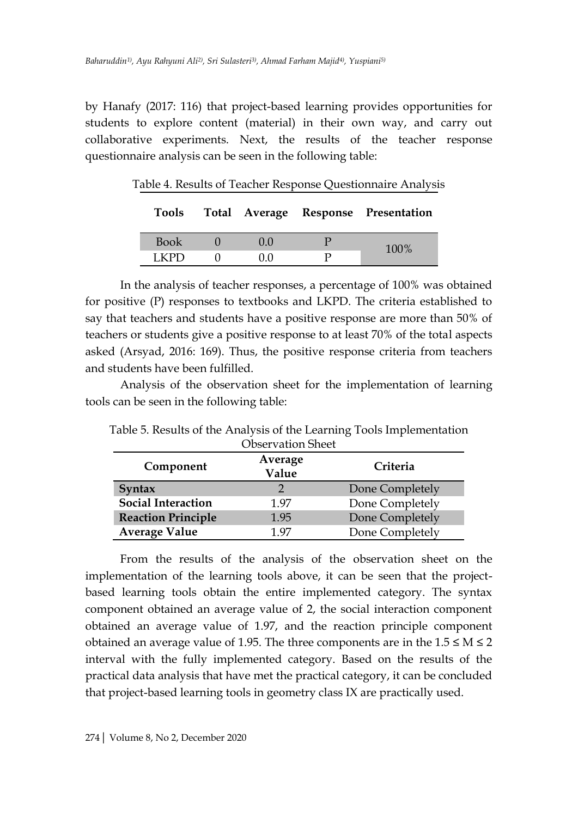by Hanafy (2017: 116) that project-based learning provides opportunities for students to explore content (material) in their own way, and carry out collaborative experiments. Next, the results of the teacher response questionnaire analysis can be seen in the following table:

| Tools       |      | Total Average Response Presentation |
|-------------|------|-------------------------------------|
| <b>Book</b> | ()() | 100%                                |
| LKPD        | (1)  |                                     |

Table 4. Results of Teacher Response Questionnaire Analysis

In the analysis of teacher responses, a percentage of 100% was obtained for positive (P) responses to textbooks and LKPD. The criteria established to say that teachers and students have a positive response are more than 50% of teachers or students give a positive response to at least 70% of the total aspects asked (Arsyad, 2016: 169). Thus, the positive response criteria from teachers and students have been fulfilled.

Analysis of the observation sheet for the implementation of learning tools can be seen in the following table:

|                           | <b>Observation Sheet</b> |                 |
|---------------------------|--------------------------|-----------------|
| Component                 | Average<br>Value         | Criteria        |
| Syntax                    |                          | Done Completely |
| <b>Social Interaction</b> | 1.97                     | Done Completely |
| <b>Reaction Principle</b> | 1.95                     | Done Completely |
| <b>Average Value</b>      | 1 97                     | Done Completely |

Table 5. Results of the Analysis of the Learning Tools Implementation

From the results of the analysis of the observation sheet on the implementation of the learning tools above, it can be seen that the projectbased learning tools obtain the entire implemented category. The syntax component obtained an average value of 2, the social interaction component obtained an average value of 1.97, and the reaction principle component obtained an average value of 1.95. The three components are in the  $1.5 \le M \le 2$ interval with the fully implemented category. Based on the results of the practical data analysis that have met the practical category, it can be concluded that project-based learning tools in geometry class IX are practically used.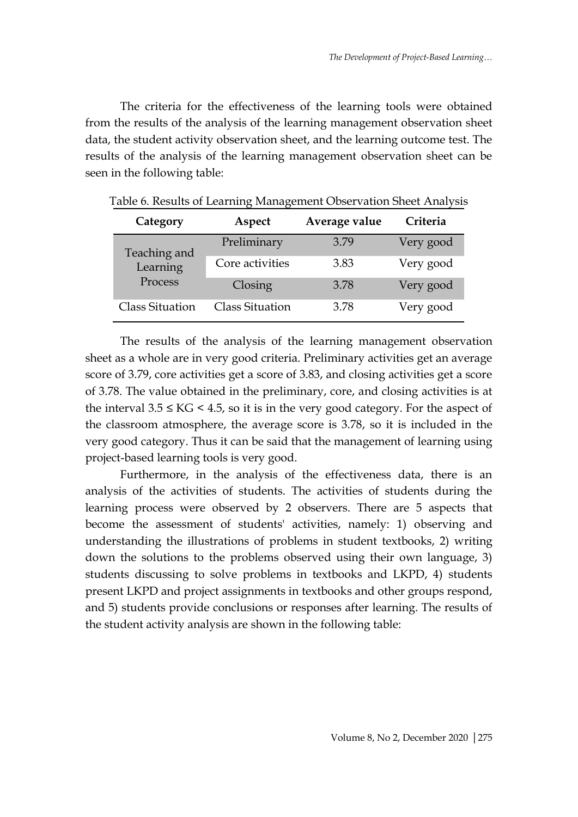The criteria for the effectiveness of the learning tools were obtained from the results of the analysis of the learning management observation sheet data, the student activity observation sheet, and the learning outcome test. The results of the analysis of the learning management observation sheet can be seen in the following table:

| Category               | Aspect                 | Average value | Criteria  |
|------------------------|------------------------|---------------|-----------|
| Teaching and           | Preliminary            | 3.79          | Very good |
| Learning               | Core activities        | 3.83          | Very good |
| Process                | Closing                | 3.78          | Very good |
| <b>Class Situation</b> | <b>Class Situation</b> | 3.78          | Very good |

Table 6. Results of Learning Management Observation Sheet Analysis

The results of the analysis of the learning management observation sheet as a whole are in very good criteria. Preliminary activities get an average score of 3.79, core activities get a score of 3.83, and closing activities get a score of 3.78. The value obtained in the preliminary, core, and closing activities is at the interval  $3.5 \leq K$ G < 4.5, so it is in the very good category. For the aspect of the classroom atmosphere, the average score is 3.78, so it is included in the very good category. Thus it can be said that the management of learning using project-based learning tools is very good.

Furthermore, in the analysis of the effectiveness data, there is an analysis of the activities of students. The activities of students during the learning process were observed by 2 observers. There are 5 aspects that become the assessment of students' activities, namely: 1) observing and understanding the illustrations of problems in student textbooks, 2) writing down the solutions to the problems observed using their own language, 3) students discussing to solve problems in textbooks and LKPD, 4) students present LKPD and project assignments in textbooks and other groups respond, and 5) students provide conclusions or responses after learning. The results of the student activity analysis are shown in the following table: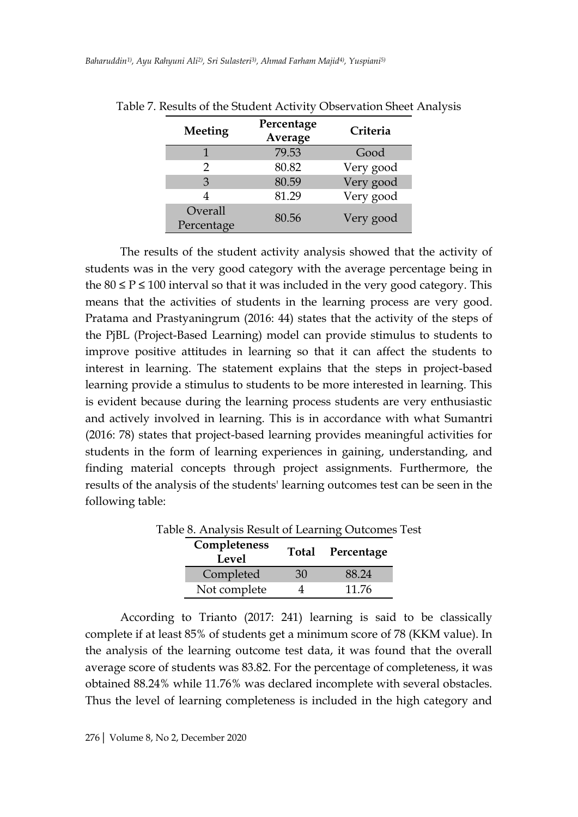| Meeting    | Percentage<br>Average | Criteria  |
|------------|-----------------------|-----------|
|            | 79.53                 | Good      |
|            | 80.82                 | Very good |
| 3          | 80.59                 | Very good |
|            | 81.29                 | Very good |
| Overall    | 80.56                 | Very good |
| Percentage |                       |           |

The results of the student activity analysis showed that the activity of students was in the very good category with the average percentage being in the  $80 \le P \le 100$  interval so that it was included in the very good category. This means that the activities of students in the learning process are very good. Pratama and Prastyaningrum (2016: 44) states that the activity of the steps of the PjBL (Project-Based Learning) model can provide stimulus to students to improve positive attitudes in learning so that it can affect the students to interest in learning. The statement explains that the steps in project-based learning provide a stimulus to students to be more interested in learning. This is evident because during the learning process students are very enthusiastic and actively involved in learning. This is in accordance with what Sumantri (2016: 78) states that project-based learning provides meaningful activities for students in the form of learning experiences in gaining, understanding, and finding material concepts through project assignments. Furthermore, the results of the analysis of the students' learning outcomes test can be seen in the following table:

| $\alpha$ . That you income of Leaffling Outcomes |              |    |                  |  |
|--------------------------------------------------|--------------|----|------------------|--|
| Completeness<br>Level                            |              |    | Total Percentage |  |
|                                                  | Completed    | 30 | 88.24            |  |
|                                                  | Not complete |    | 11.76            |  |

Table 8. Analysis Result of Learning Outcomes Test

According to Trianto (2017: 241) learning is said to be classically complete if at least 85% of students get a minimum score of 78 (KKM value). In the analysis of the learning outcome test data, it was found that the overall average score of students was 83.82. For the percentage of completeness, it was obtained 88.24% while 11.76% was declared incomplete with several obstacles. Thus the level of learning completeness is included in the high category and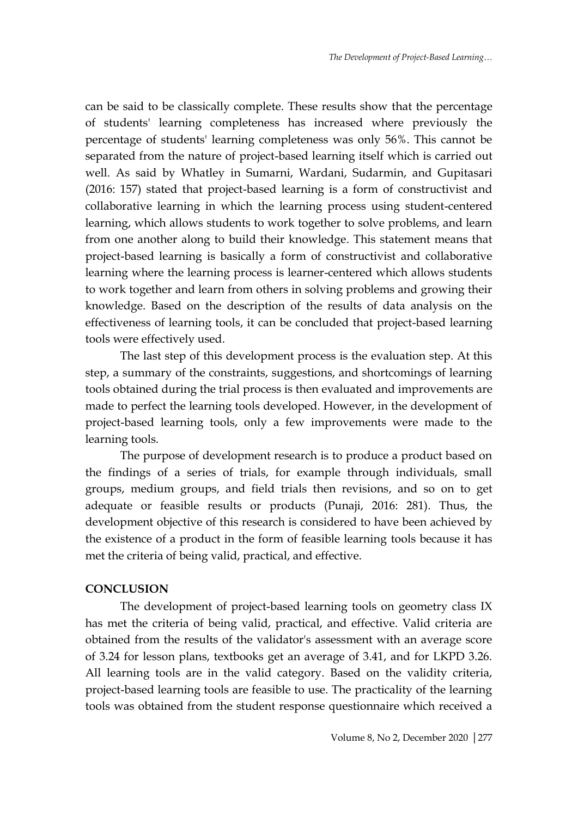can be said to be classically complete. These results show that the percentage of students' learning completeness has increased where previously the percentage of students' learning completeness was only 56%. This cannot be separated from the nature of project-based learning itself which is carried out well. As said by Whatley in Sumarni, Wardani, Sudarmin, and Gupitasari (2016: 157) stated that project-based learning is a form of constructivist and collaborative learning in which the learning process using student-centered learning, which allows students to work together to solve problems, and learn from one another along to build their knowledge. This statement means that project-based learning is basically a form of constructivist and collaborative learning where the learning process is learner-centered which allows students to work together and learn from others in solving problems and growing their knowledge. Based on the description of the results of data analysis on the effectiveness of learning tools, it can be concluded that project-based learning tools were effectively used.

The last step of this development process is the evaluation step. At this step, a summary of the constraints, suggestions, and shortcomings of learning tools obtained during the trial process is then evaluated and improvements are made to perfect the learning tools developed. However, in the development of project-based learning tools, only a few improvements were made to the learning tools.

The purpose of development research is to produce a product based on the findings of a series of trials, for example through individuals, small groups, medium groups, and field trials then revisions, and so on to get adequate or feasible results or products (Punaji, 2016: 281). Thus, the development objective of this research is considered to have been achieved by the existence of a product in the form of feasible learning tools because it has met the criteria of being valid, practical, and effective.

## **CONCLUSION**

The development of project-based learning tools on geometry class IX has met the criteria of being valid, practical, and effective. Valid criteria are obtained from the results of the validator's assessment with an average score of 3.24 for lesson plans, textbooks get an average of 3.41, and for LKPD 3.26. All learning tools are in the valid category. Based on the validity criteria, project-based learning tools are feasible to use. The practicality of the learning tools was obtained from the student response questionnaire which received a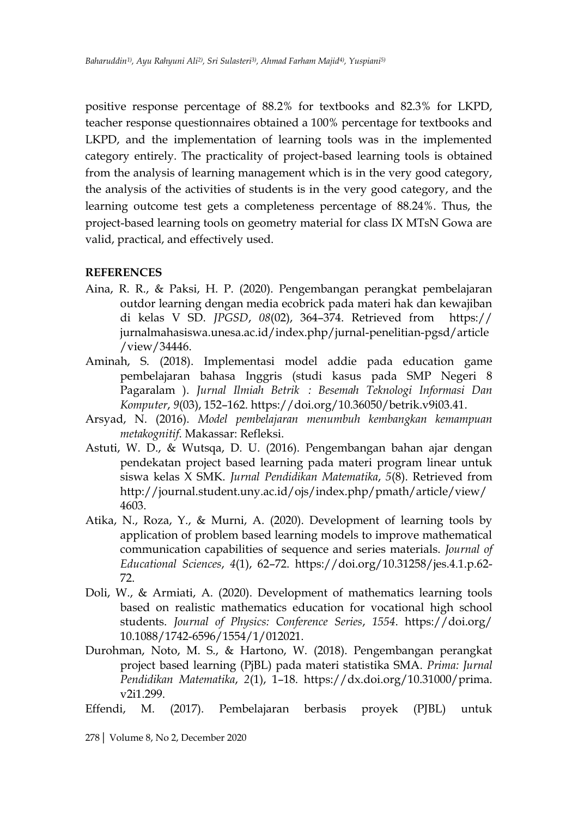positive response percentage of 88.2% for textbooks and 82.3% for LKPD, teacher response questionnaires obtained a 100% percentage for textbooks and LKPD, and the implementation of learning tools was in the implemented category entirely. The practicality of project-based learning tools is obtained from the analysis of learning management which is in the very good category, the analysis of the activities of students is in the very good category, and the learning outcome test gets a completeness percentage of 88.24%. Thus, the project-based learning tools on geometry material for class IX MTsN Gowa are valid, practical, and effectively used.

## **REFERENCES**

- Aina, R. R., & Paksi, H. P. (2020). Pengembangan perangkat pembelajaran outdor learning dengan media ecobrick pada materi hak dan kewajiban di kelas V SD. *JPGSD*, *08*(02), 364–374. Retrieved from https:// jurnalmahasiswa.unesa.ac.id/index.php/jurnal-penelitian-pgsd/article /view/34446.
- Aminah, S. (2018). Implementasi model addie pada education game pembelajaran bahasa Inggris (studi kasus pada SMP Negeri 8 Pagaralam ). *Jurnal Ilmiah Betrik : Besemah Teknologi Informasi Dan Komputer*, *9*(03), 152–162. https://doi.org/10.36050/betrik.v9i03.41.
- Arsyad, N. (2016). *Model pembelajaran menumbuh kembangkan kemampuan metakognitif*. Makassar: Refleksi.
- Astuti, W. D., & Wutsqa, D. U. (2016). Pengembangan bahan ajar dengan pendekatan project based learning pada materi program linear untuk siswa kelas X SMK. *Jurnal Pendidikan Matematika*, *5*(8). Retrieved from http://journal.student.uny.ac.id/ojs/index.php/pmath/article/view/ 4603.
- Atika, N., Roza, Y., & Murni, A. (2020). Development of learning tools by application of problem based learning models to improve mathematical communication capabilities of sequence and series materials. *Journal of Educational Sciences*, *4*(1), 62–72. https://doi.org/10.31258/jes.4.1.p.62- 72.
- Doli, W., & Armiati, A. (2020). Development of mathematics learning tools based on realistic mathematics education for vocational high school students. *Journal of Physics: Conference Series*, *1554*. https://doi.org/ 10.1088/1742-6596/1554/1/012021.
- Durohman, Noto, M. S., & Hartono, W. (2018). Pengembangan perangkat project based learning (PjBL) pada materi statistika SMA. *Prima: Jurnal Pendidikan Matematika*, *2*(1), 1–18. https://dx.doi.org/10.31000/prima. v2i1.299.

Effendi, M. (2017). Pembelajaran berbasis proyek (PJBL) untuk

278| Volume 8, No 2, December 2020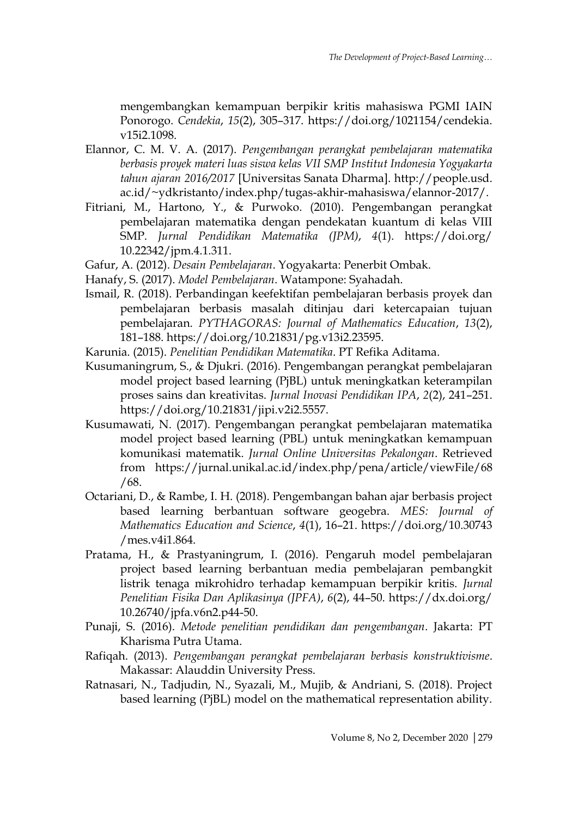mengembangkan kemampuan berpikir kritis mahasiswa PGMI IAIN Ponorogo. *Cendekia*, *15*(2), 305–317. https://doi.org/1021154/cendekia. v15i2.1098.

- Elannor, C. M. V. A. (2017). *Pengembangan perangkat pembelajaran matematika berbasis proyek materi luas siswa kelas VII SMP Institut Indonesia Yogyakarta tahun ajaran 2016/2017* [Universitas Sanata Dharma]. http://people.usd. ac.id/~ydkristanto/index.php/tugas-akhir-mahasiswa/elannor-2017/.
- Fitriani, M., Hartono, Y., & Purwoko. (2010). Pengembangan perangkat pembelajaran matematika dengan pendekatan kuantum di kelas VIII SMP. *Jurnal Pendidikan Matematika (JPM)*, *4*(1). https://doi.org/ 10.22342/jpm.4.1.311.
- Gafur, A. (2012). *Desain Pembelajaran*. Yogyakarta: Penerbit Ombak.
- Hanafy, S. (2017). *Model Pembelajaran*. Watampone: Syahadah.
- Ismail, R. (2018). Perbandingan keefektifan pembelajaran berbasis proyek dan pembelajaran berbasis masalah ditinjau dari ketercapaian tujuan pembelajaran. *PYTHAGORAS: Journal of Mathematics Education*, *13*(2), 181–188. https://doi.org/10.21831/pg.v13i2.23595.
- Karunia. (2015). *Penelitian Pendidikan Matematika*. PT Refika Aditama.
- Kusumaningrum, S., & Djukri. (2016). Pengembangan perangkat pembelajaran model project based learning (PjBL) untuk meningkatkan keterampilan proses sains dan kreativitas. *Jurnal Inovasi Pendidikan IPA*, *2*(2), 241–251. https://doi.org/10.21831/jipi.v2i2.5557.
- Kusumawati, N. (2017). Pengembangan perangkat pembelajaran matematika model project based learning (PBL) untuk meningkatkan kemampuan komunikasi matematik. *Jurnal Online Universitas Pekalongan*. Retrieved from https://jurnal.unikal.ac.id/index.php/pena/article/viewFile/68 /68.
- Octariani, D., & Rambe, I. H. (2018). Pengembangan bahan ajar berbasis project based learning berbantuan software geogebra. *MES: Journal of Mathematics Education and Science*, *4*(1), 16–21. https://doi.org/10.30743 /mes.v4i1.864.
- Pratama, H., & Prastyaningrum, I. (2016). Pengaruh model pembelajaran project based learning berbantuan media pembelajaran pembangkit listrik tenaga mikrohidro terhadap kemampuan berpikir kritis. *Jurnal Penelitian Fisika Dan Aplikasinya (JPFA)*, *6*(2), 44–50. https://dx.doi.org/ 10.26740/jpfa.v6n2.p44-50.
- Punaji, S. (2016). *Metode penelitian pendidikan dan pengembangan*. Jakarta: PT Kharisma Putra Utama.
- Rafiqah. (2013). *Pengembangan perangkat pembelajaran berbasis konstruktivisme*. Makassar: Alauddin University Press.
- Ratnasari, N., Tadjudin, N., Syazali, M., Mujib, & Andriani, S. (2018). Project based learning (PjBL) model on the mathematical representation ability.